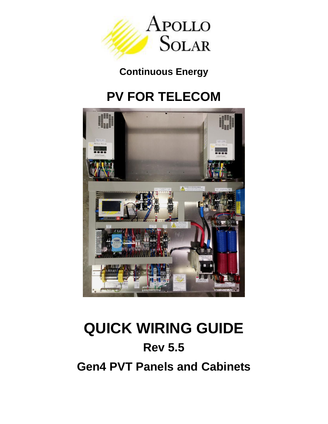

# **Continuous Energy**

# **PV FOR TELECOM**



# **QUICK WIRING GUIDE**

# **Rev 5.5**

**Gen4 PVT Panels and Cabinets**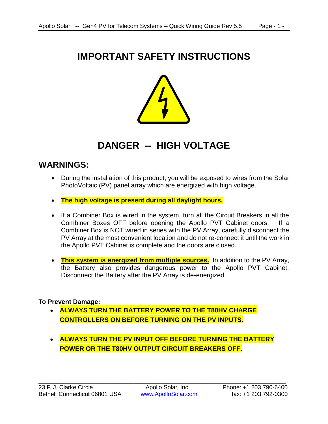# **IMPORTANT SAFETY INSTRUCTIONS**



# **DANGER -- HIGH VOLTAGE**

#### **WARNINGS:**

- During the installation of this product, you will be exposed to wires from the Solar PhotoVoltaic (PV) panel array which are energized with high voltage.
- **The high voltage is present during all daylight hours.**
- If a Combiner Box is wired in the system, turn all the Circuit Breakers in all the Combiner Boxes OFF before opening the Apollo PVT Cabinet doors. If a Combiner Box is NOT wired in series with the PV Array, carefully disconnect the PV Array at the most convenient location and do not re-connect it until the work in the Apollo PVT Cabinet is complete and the doors are closed.
- **This system is energized from multiple sources.** In addition to the PV Array, the Battery also provides dangerous power to the Apollo PVT Cabinet. Disconnect the Battery after the PV Array is de-energized.

#### **To Prevent Damage:**

- **ALWAYS TURN THE BATTERY POWER TO THE T80HV CHARGE CONTROLLERS ON BEFORE TURNING ON THE PV INPUTS.**
- **ALWAYS TURN THE PV INPUT OFF BEFORE TURNING THE BATTERY POWER OR THE T80HV OUTPUT CIRCUIT BREAKERS OFF.**

\_\_\_\_\_\_\_\_\_\_\_\_\_\_\_\_\_\_\_\_\_\_\_\_\_\_\_\_\_\_\_\_\_\_\_\_\_\_\_\_\_\_\_\_\_\_\_\_\_\_\_\_\_\_\_\_\_\_\_\_\_\_\_\_\_\_\_\_\_\_\_\_\_\_\_\_\_\_\_\_\_\_\_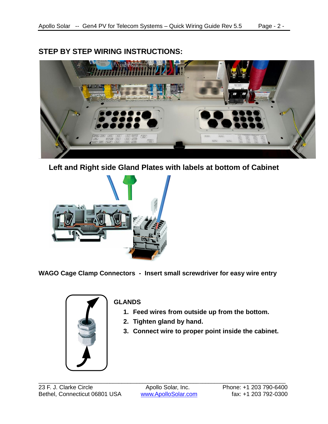

#### **STEP BY STEP WIRING INSTRUCTIONS:**

**Left and Right side Gland Plates with labels at bottom of Cabinet**



**WAGO Cage Clamp Connectors - Insert small screwdriver for easy wire entry**

![](_page_2_Picture_6.jpeg)

#### **GLANDS**

- **1. Feed wires from outside up from the bottom.**
- **2. Tighten gland by hand.**
- **3. Connect wire to proper point inside the cabinet.**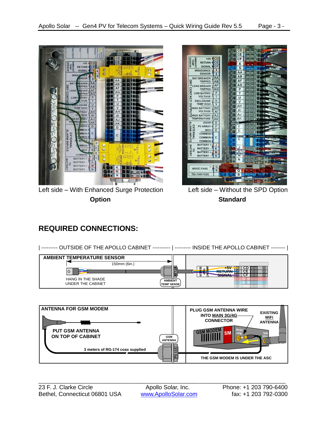![](_page_3_Figure_2.jpeg)

Left side – With Enhanced Surge Protection Left side – Without the SPD Option **Option Standard**

![](_page_3_Picture_4.jpeg)

#### **REQUIRED CONNECTIONS:**

| --------- OUTSIDE OF THE APOLLO CABINET ---------- | --------- INSIDE THE APOLLO CABINET -------- |

![](_page_3_Figure_8.jpeg)

![](_page_3_Figure_9.jpeg)

\_\_\_\_\_\_\_\_\_\_\_\_\_\_\_\_\_\_\_\_\_\_\_\_\_\_\_\_\_\_\_\_\_\_\_\_\_\_\_\_\_\_\_\_\_\_\_\_\_\_\_\_\_\_\_\_\_\_\_\_\_\_\_\_\_\_\_\_\_\_\_\_\_\_\_\_\_\_\_\_\_\_\_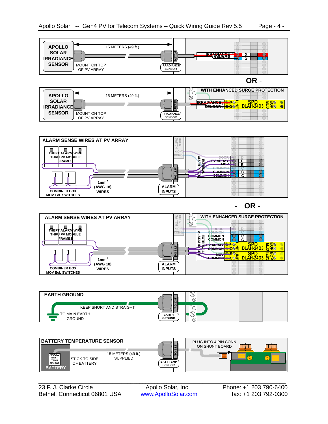![](_page_4_Figure_1.jpeg)

**OR** -

![](_page_4_Figure_3.jpeg)

![](_page_4_Figure_4.jpeg)

- **OR** -

![](_page_4_Figure_6.jpeg)

![](_page_4_Figure_7.jpeg)

![](_page_4_Figure_8.jpeg)

\_\_\_\_\_\_\_\_\_\_\_\_\_\_\_\_\_\_\_\_\_\_\_\_\_\_\_\_\_\_\_\_\_\_\_\_\_\_\_\_\_\_\_\_\_\_\_\_\_\_\_\_\_\_\_\_\_\_\_\_\_\_\_\_\_\_\_\_\_\_\_\_\_\_\_\_\_\_\_\_\_\_\_

23 F. J. Clarke Circle **Apollo Solar, Inc.** Phone: +1 203 790-6400 Bethel, Connecticut 06801 USA [www.ApolloSolar.com](http://www.apollosolar.com/) fax: +1 203 792-0300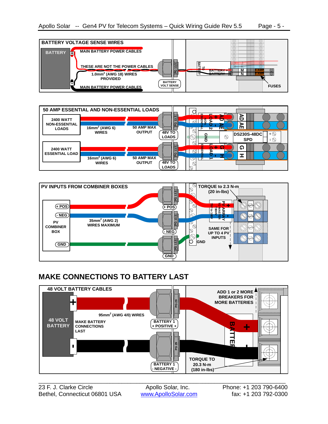![](_page_5_Figure_1.jpeg)

![](_page_5_Figure_2.jpeg)

![](_page_5_Figure_3.jpeg)

![](_page_5_Figure_4.jpeg)

### **MAKE CONNECTIONS TO BATTERY LAST**

![](_page_5_Figure_6.jpeg)

\_\_\_\_\_\_\_\_\_\_\_\_\_\_\_\_\_\_\_\_\_\_\_\_\_\_\_\_\_\_\_\_\_\_\_\_\_\_\_\_\_\_\_\_\_\_\_\_\_\_\_\_\_\_\_\_\_\_\_\_\_\_\_\_\_\_\_\_\_\_\_\_\_\_\_\_\_\_\_\_\_\_\_ 23 F. J. Clarke Circle **Apollo Solar, Inc.** Phone: +1 203 790-6400 Bethel, Connecticut 06801 USA [www.ApolloSolar.com](http://www.apollosolar.com/) fax: +1 203 792-0300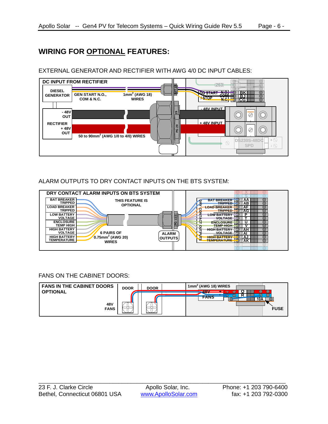#### **WIRING FOR OPTIONAL FEATURES:**

#### EXTERNAL GENERATOR AND RECTIFIER WITH AWG 4/0 DC INPUT CABLES:

![](_page_6_Figure_4.jpeg)

#### ALARM OUTPUTS TO DRY CONTACT INPUTS ON THE BTS SYSTEM:

![](_page_6_Figure_6.jpeg)

#### FANS ON THE CABINET DOORS:

| <b>FANS IN THE CABINET DOORS</b><br><b>OPTIONAL</b> | <b>DOOR</b> | <b>DOOR</b> | $1mm2$ (AWG 18) WIRES<br>- 33                 |
|-----------------------------------------------------|-------------|-------------|-----------------------------------------------|
| 48V<br><b>FANS</b>                                  | — 1         |             | <b>FANS</b><br>10 <sub>A</sub><br><b>FUSE</b> |

\_\_\_\_\_\_\_\_\_\_\_\_\_\_\_\_\_\_\_\_\_\_\_\_\_\_\_\_\_\_\_\_\_\_\_\_\_\_\_\_\_\_\_\_\_\_\_\_\_\_\_\_\_\_\_\_\_\_\_\_\_\_\_\_\_\_\_\_\_\_\_\_\_\_\_\_\_\_\_\_\_\_\_